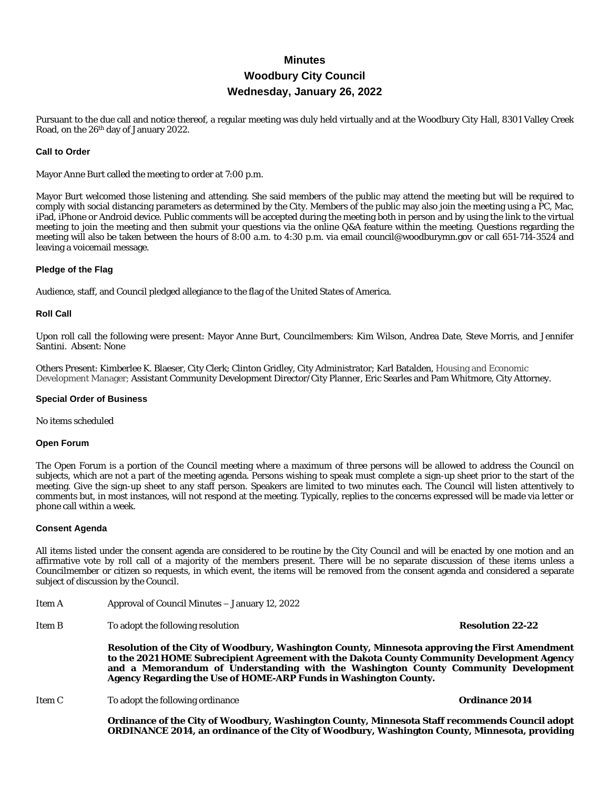# **Minutes Woodbury City Council Wednesday, January 26, 2022**

Pursuant to the due call and notice thereof, a regular meeting was duly held virtually and at the Woodbury City Hall, 8301 Valley Creek Road, on the 26th day of January 2022.

#### **Call to Order**

Mayor Anne Burt called the meeting to order at 7:00 p.m.

Mayor Burt welcomed those listening and attending. She said members of the public may attend the meeting but will be required to comply with social distancing parameters as determined by the City. Members of the public may also join the meeting using a PC, Mac, iPad, iPhone or Android device. Public comments will be accepted during the meeting both in person and by using the link to the virtual meeting to join the meeting and then submit your questions via the online Q&A feature within the meeting. Questions regarding the meeting will also be taken between the hours of 8:00 a.m. to 4:30 p.m. via email council@woodburymn.gov or call 651-714-3524 and leaving a voicemail message.

#### **Pledge of the Flag**

Audience, staff, and Council pledged allegiance to the flag of the United States of America.

#### **Roll Call**

Upon roll call the following were present: Mayor Anne Burt, Councilmembers: Kim Wilson, Andrea Date, Steve Morris, and Jennifer Santini. Absent: None

Others Present: Kimberlee K. Blaeser, City Clerk; Clinton Gridley, City Administrator; Karl Batalden, Housing and Economic Development Manager; Assistant Community Development Director/City Planner, Eric Searles and Pam Whitmore, City Attorney.

#### **Special Order of Business**

No items scheduled

#### **Open Forum**

The Open Forum is a portion of the Council meeting where a maximum of three persons will be allowed to address the Council on subjects, which are not a part of the meeting agenda. Persons wishing to speak must complete a sign-up sheet prior to the start of the meeting. Give the sign-up sheet to any staff person. Speakers are limited to two minutes each. The Council will listen attentively to comments but, in most instances, will not respond at the meeting. Typically, replies to the concerns expressed will be made via letter or phone call within a week.

#### **Consent Agenda**

All items listed under the consent agenda are considered to be routine by the City Council and will be enacted by one motion and an affirmative vote by roll call of a majority of the members present. There will be no separate discussion of these items unless a Councilmember or citizen so requests, in which event, the items will be removed from the consent agenda and considered a separate subject of discussion by the Council.

- Item A Approval of Council Minutes January 12, 2022
- Item B To adopt the following resolution **Resolution 22-22**

**Resolution of the City of Woodbury, Washington County, Minnesota approving the First Amendment to the 2021 HOME Subrecipient Agreement with the Dakota County Community Development Agency and a Memorandum of Understanding with the Washington County Community Development Agency Regarding the Use of HOME-ARP Funds in Washington County.**

Item C To adopt the following ordinance **Ordinance 2014**

**Ordinance of the City of Woodbury, Washington County, Minnesota Staff recommends Council adopt ORDINANCE 2014, an ordinance of the City of Woodbury, Washington County, Minnesota, providing**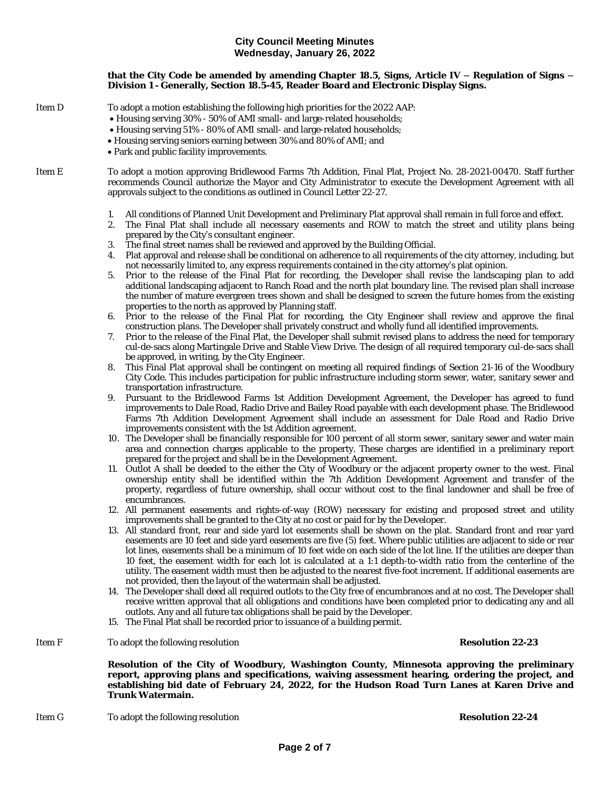### **that the City Code be amended by amending Chapter 18.5, Signs, Article IV – Regulation of Signs – Division 1 - Generally, Section 18.5-45, Reader Board and Electronic Display Signs.**

Item D To adopt a motion establishing the following high priorities for the 2022 AAP:

- · Housing serving 30% 50% of AMI small- and large-related households;
- · Housing serving 51% 80% of AMI small- and large-related households;
- · Housing serving seniors earning between 30% and 80% of AMI; and
- · Park and public facility improvements.

Item E To adopt a motion approving Bridlewood Farms 7th Addition, Final Plat, Project No. 28-2021-00470. Staff further recommends Council authorize the Mayor and City Administrator to execute the Development Agreement with all approvals subject to the conditions as outlined in Council Letter 22-27.

- 1. All conditions of Planned Unit Development and Preliminary Plat approval shall remain in full force and effect.
- 2. The Final Plat shall include all necessary easements and ROW to match the street and utility plans being prepared by the City's consultant engineer.
- 3. The final street names shall be reviewed and approved by the Building Official.
- 4. Plat approval and release shall be conditional on adherence to all requirements of the city attorney, including, but not necessarily limited to, any express requirements contained in the city attorney's plat opinion.
- 5. Prior to the release of the Final Plat for recording, the Developer shall revise the landscaping plan to add additional landscaping adjacent to Ranch Road and the north plat boundary line. The revised plan shall increase the number of mature evergreen trees shown and shall be designed to screen the future homes from the existing properties to the north as approved by Planning staff.
- 6. Prior to the release of the Final Plat for recording, the City Engineer shall review and approve the final construction plans. The Developer shall privately construct and wholly fund all identified improvements.
- 7. Prior to the release of the Final Plat, the Developer shall submit revised plans to address the need for temporary cul-de-sacs along Martingale Drive and Stable View Drive. The design of all required temporary cul-de-sacs shall be approved, in writing, by the City Engineer.
- 8. This Final Plat approval shall be contingent on meeting all required findings of Section 21-16 of the Woodbury City Code. This includes participation for public infrastructure including storm sewer, water, sanitary sewer and transportation infrastructure.
- 9. Pursuant to the Bridlewood Farms 1st Addition Development Agreement, the Developer has agreed to fund improvements to Dale Road, Radio Drive and Bailey Road payable with each development phase. The Bridlewood Farms 7th Addition Development Agreement shall include an assessment for Dale Road and Radio Drive improvements consistent with the 1st Addition agreement.
- 10. The Developer shall be financially responsible for 100 percent of all storm sewer, sanitary sewer and water main area and connection charges applicable to the property. These charges are identified in a preliminary report prepared for the project and shall be in the Development Agreement.
- 11. Outlot A shall be deeded to the either the City of Woodbury or the adjacent property owner to the west. Final ownership entity shall be identified within the 7th Addition Development Agreement and transfer of the property, regardless of future ownership, shall occur without cost to the final landowner and shall be free of encumbrances.
- 12. All permanent easements and rights-of-way (ROW) necessary for existing and proposed street and utility improvements shall be granted to the City at no cost or paid for by the Developer.
- 13. All standard front, rear and side yard lot easements shall be shown on the plat. Standard front and rear yard easements are 10 feet and side yard easements are five (5) feet. Where public utilities are adjacent to side or rear lot lines, easements shall be a minimum of 10 feet wide on each side of the lot line. If the utilities are deeper than 10 feet, the easement width for each lot is calculated at a 1:1 depth-to-width ratio from the centerline of the utility. The easement width must then be adjusted to the nearest five-foot increment. If additional easements are not provided, then the layout of the watermain shall be adjusted.
- 14. The Developer shall deed all required outlots to the City free of encumbrances and at no cost. The Developer shall receive written approval that all obligations and conditions have been completed prior to dedicating any and all outlots. Any and all future tax obligations shall be paid by the Developer.
- 15. The Final Plat shall be recorded prior to issuance of a building permit.
- Item F To adopt the following resolution **Resolution 22-23**

**Resolution of the City of Woodbury, Washington County, Minnesota approving the preliminary report, approving plans and specifications, waiving assessment hearing, ordering the project, and establishing bid date of February 24, 2022, for the Hudson Road Turn Lanes at Karen Drive and Trunk Watermain.**

Item G To adopt the following resolution **Resolution 22-24**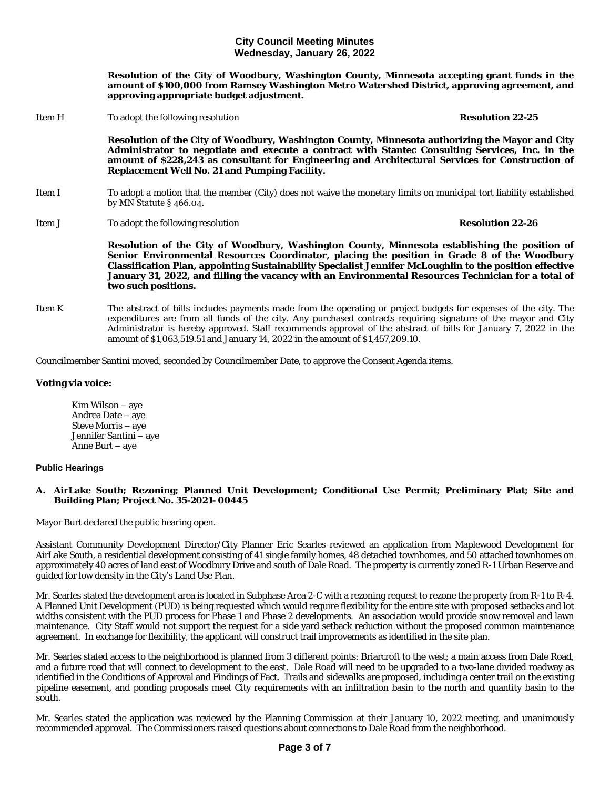**Resolution of the City of Woodbury, Washington County, Minnesota accepting grant funds in the amount of \$100,000 from Ramsey Washington Metro Watershed District, approving agreement, and approving appropriate budget adjustment.**

Item H To adopt the following resolution **Resolution 22-25 Resolution of the City of Woodbury, Washington County, Minnesota authorizing the Mayor and City Administrator to negotiate and execute a contract with Stantec Consulting Services, Inc. in the amount of \$228,243 as consultant for Engineering and Architectural Services for Construction of Replacement Well No. 21 and Pumping Facility.** Item I To adopt a motion that the member (City) does not waive the monetary limits on municipal tort liability established by MN Statute § 466.04. Item J To adopt the following resolution **Resolution 22-26**

**Resolution of the City of Woodbury, Washington County, Minnesota establishing the position of Senior Environmental Resources Coordinator, placing the position in Grade 8 of the Woodbury Classification Plan, appointing Sustainability Specialist Jennifer McLoughlin to the position effective January 31, 2022, and filling the vacancy with an Environmental Resources Technician for a total of two such positions.**

Item K The abstract of bills includes payments made from the operating or project budgets for expenses of the city. The expenditures are from all funds of the city. Any purchased contracts requiring signature of the mayor and City Administrator is hereby approved. Staff recommends approval of the abstract of bills for January 7, 2022 in the amount of \$1,063,519.51 and January 14, 2022 in the amount of \$1,457,209.10.

Councilmember Santini moved, seconded by Councilmember Date, to approve the Consent Agenda items.

# **Voting via voice:**

Kim Wilson – aye Andrea Date – aye Steve Morris – aye Jennifer Santini – aye Anne Burt – aye

# **Public Hearings**

# **A. AirLake South; Rezoning; Planned Unit Development; Conditional Use Permit; Preliminary Plat; Site and Building Plan; Project No. 35-2021- 00445**

Mayor Burt declared the public hearing open.

Assistant Community Development Director/City Planner Eric Searles reviewed an application from Maplewood Development for AirLake South, a residential development consisting of 41 single family homes, 48 detached townhomes, and 50 attached townhomes on approximately 40 acres of land east of Woodbury Drive and south of Dale Road. The property is currently zoned R-1 Urban Reserve and guided for low density in the City's Land Use Plan.

Mr. Searles stated the development area is located in Subphase Area 2-C with a rezoning request to rezone the property from R-1 to R-4. A Planned Unit Development (PUD) is being requested which would require flexibility for the entire site with proposed setbacks and lot widths consistent with the PUD process for Phase 1 and Phase 2 developments. An association would provide snow removal and lawn maintenance. City Staff would not support the request for a side yard setback reduction without the proposed common maintenance agreement. In exchange for flexibility, the applicant will construct trail improvements as identified in the site plan.

Mr. Searles stated access to the neighborhood is planned from 3 different points: Briarcroft to the west; a main access from Dale Road, and a future road that will connect to development to the east. Dale Road will need to be upgraded to a two-lane divided roadway as identified in the Conditions of Approval and Findings of Fact. Trails and sidewalks are proposed, including a center trail on the existing pipeline easement, and ponding proposals meet City requirements with an infiltration basin to the north and quantity basin to the south.

Mr. Searles stated the application was reviewed by the Planning Commission at their January 10, 2022 meeting, and unanimously recommended approval. The Commissioners raised questions about connections to Dale Road from the neighborhood.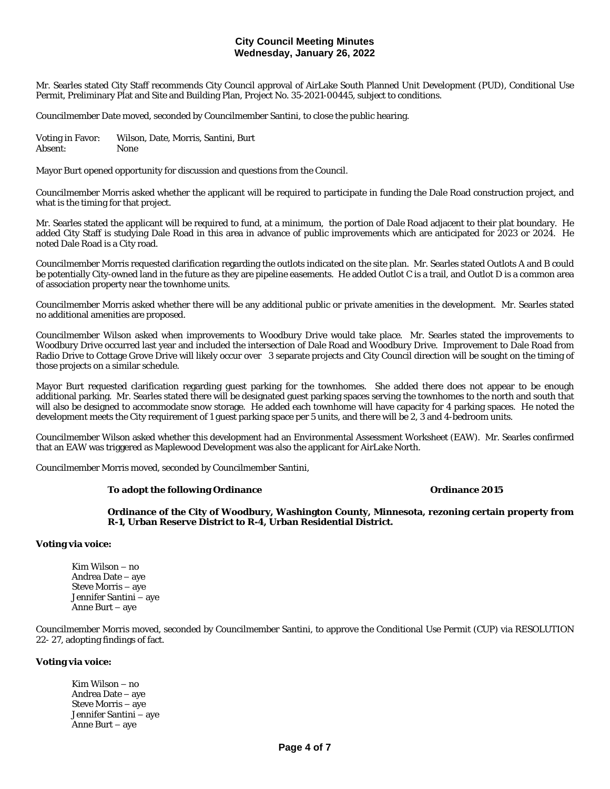Mr. Searles stated City Staff recommends City Council approval of AirLake South Planned Unit Development (PUD), Conditional Use Permit, Preliminary Plat and Site and Building Plan, Project No. 35-2021-00445, subject to conditions.

Councilmember Date moved, seconded by Councilmember Santini, to close the public hearing.

Voting in Favor: Wilson, Date, Morris, Santini, Burt Absent: None

Mayor Burt opened opportunity for discussion and questions from the Council.

Councilmember Morris asked whether the applicant will be required to participate in funding the Dale Road construction project, and what is the timing for that project.

Mr. Searles stated the applicant will be required to fund, at a minimum, the portion of Dale Road adjacent to their plat boundary. He added City Staff is studying Dale Road in this area in advance of public improvements which are anticipated for 2023 or 2024. He noted Dale Road is a City road.

Councilmember Morris requested clarification regarding the outlots indicated on the site plan. Mr. Searles stated Outlots A and B could be potentially City-owned land in the future as they are pipeline easements. He added Outlot C is a trail, and Outlot D is a common area of association property near the townhome units.

Councilmember Morris asked whether there will be any additional public or private amenities in the development. Mr. Searles stated no additional amenities are proposed.

Councilmember Wilson asked when improvements to Woodbury Drive would take place. Mr. Searles stated the improvements to Woodbury Drive occurred last year and included the intersection of Dale Road and Woodbury Drive. Improvement to Dale Road from Radio Drive to Cottage Grove Drive will likely occur over 3 separate projects and City Council direction will be sought on the timing of those projects on a similar schedule.

Mayor Burt requested clarification regarding guest parking for the townhomes. She added there does not appear to be enough additional parking. Mr. Searles stated there will be designated guest parking spaces serving the townhomes to the north and south that will also be designed to accommodate snow storage. He added each townhome will have capacity for 4 parking spaces. He noted the development meets the City requirement of 1 guest parking space per 5 units, and there will be 2, 3 and 4-bedroom units.

Councilmember Wilson asked whether this development had an Environmental Assessment Worksheet (EAW). Mr. Searles confirmed that an EAW was triggered as Maplewood Development was also the applicant for AirLake North.

Councilmember Morris moved, seconded by Councilmember Santini,

#### **To adopt the following Ordinance Ordinance 2015**

**Ordinance of the City of Woodbury, Washington County, Minnesota, rezoning certain property from R-1, Urban Reserve District to R-4, Urban Residential District.**

#### **Voting via voice:**

Kim Wilson – no Andrea Date – aye Steve Morris – aye Jennifer Santini – aye Anne Burt – aye

Councilmember Morris moved, seconded by Councilmember Santini, to approve the Conditional Use Permit (CUP) via RESOLUTION 22- 27, adopting findings of fact.

### **Voting via voice:**

Kim Wilson – no Andrea Date – aye Steve Morris – aye Jennifer Santini – aye Anne Burt – aye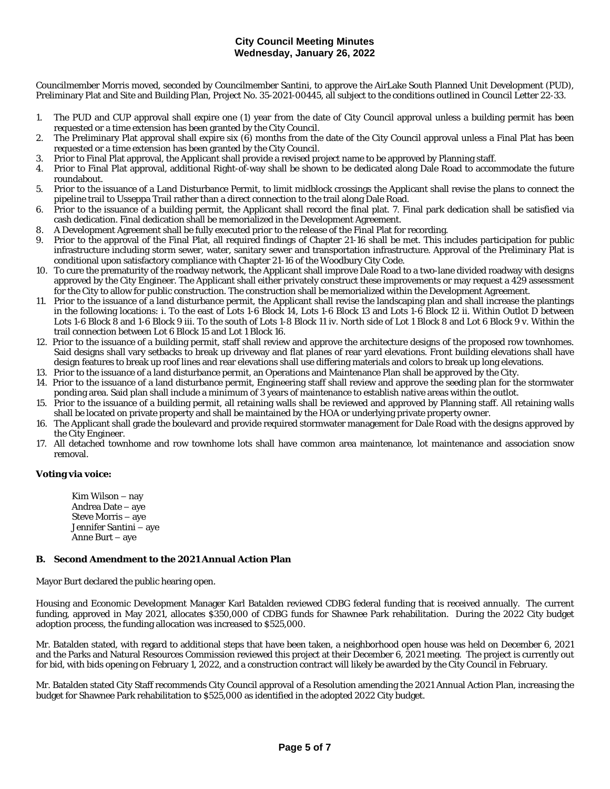Councilmember Morris moved, seconded by Councilmember Santini, to approve the AirLake South Planned Unit Development (PUD), Preliminary Plat and Site and Building Plan, Project No. 35-2021-00445, all subject to the conditions outlined in Council Letter 22-33.

- 1. The PUD and CUP approval shall expire one (1) year from the date of City Council approval unless a building permit has been requested or a time extension has been granted by the City Council.
- 2. The Preliminary Plat approval shall expire six (6) months from the date of the City Council approval unless a Final Plat has been requested or a time extension has been granted by the City Council.
- 3. Prior to Final Plat approval, the Applicant shall provide a revised project name to be approved by Planning staff.
- 4. Prior to Final Plat approval, additional Right-of-way shall be shown to be dedicated along Dale Road to accommodate the future roundabout.
- 5. Prior to the issuance of a Land Disturbance Permit, to limit midblock crossings the Applicant shall revise the plans to connect the pipeline trail to Usseppa Trail rather than a direct connection to the trail along Dale Road.
- 6. Prior to the issuance of a building permit, the Applicant shall record the final plat. 7. Final park dedication shall be satisfied via cash dedication. Final dedication shall be memorialized in the Development Agreement.
- 8. A Development Agreement shall be fully executed prior to the release of the Final Plat for recording.
- 9. Prior to the approval of the Final Plat, all required findings of Chapter 21-16 shall be met. This includes participation for public infrastructure including storm sewer, water, sanitary sewer and transportation infrastructure. Approval of the Preliminary Plat is conditional upon satisfactory compliance with Chapter 21-16 of the Woodbury City Code.
- 10. To cure the prematurity of the roadway network, the Applicant shall improve Dale Road to a two-lane divided roadway with designs approved by the City Engineer. The Applicant shall either privately construct these improvements or may request a 429 assessment for the City to allow for public construction. The construction shall be memorialized within the Development Agreement.
- 11. Prior to the issuance of a land disturbance permit, the Applicant shall revise the landscaping plan and shall increase the plantings in the following locations: i. To the east of Lots 1-6 Block 14, Lots 1-6 Block 13 and Lots 1-6 Block 12 ii. Within Outlot D between Lots 1-6 Block 8 and 1-6 Block 9 iii. To the south of Lots 1-8 Block 11 iv. North side of Lot 1 Block 8 and Lot 6 Block 9 v. Within the trail connection between Lot 6 Block 15 and Lot 1 Block 16.
- 12. Prior to the issuance of a building permit, staff shall review and approve the architecture designs of the proposed row townhomes. Said designs shall vary setbacks to break up driveway and flat planes of rear yard elevations. Front building elevations shall have design features to break up roof lines and rear elevations shall use differing materials and colors to break up long elevations.
- 13. Prior to the issuance of a land disturbance permit, an Operations and Maintenance Plan shall be approved by the City.
- 14. Prior to the issuance of a land disturbance permit, Engineering staff shall review and approve the seeding plan for the stormwater ponding area. Said plan shall include a minimum of 3 years of maintenance to establish native areas within the outlot.
- 15. Prior to the issuance of a building permit, all retaining walls shall be reviewed and approved by Planning staff. All retaining walls shall be located on private property and shall be maintained by the HOA or underlying private property owner.
- 16. The Applicant shall grade the boulevard and provide required stormwater management for Dale Road with the designs approved by the City Engineer.
- 17. All detached townhome and row townhome lots shall have common area maintenance, lot maintenance and association snow removal.

# **Voting via voice:**

Kim Wilson – nay Andrea Date – aye Steve Morris – aye Jennifer Santini – aye Anne Burt – aye

# **B. Second Amendment to the 2021 Annual Action Plan**

Mayor Burt declared the public hearing open.

Housing and Economic Development Manager Karl Batalden reviewed CDBG federal funding that is received annually. The current funding, approved in May 2021, allocates \$350,000 of CDBG funds for Shawnee Park rehabilitation. During the 2022 City budget adoption process, the funding allocation was increased to \$525,000.

Mr. Batalden stated, with regard to additional steps that have been taken, a neighborhood open house was held on December 6, 2021 and the Parks and Natural Resources Commission reviewed this project at their December 6, 2021 meeting. The project is currently out for bid, with bids opening on February 1, 2022, and a construction contract will likely be awarded by the City Council in February.

Mr. Batalden stated City Staff recommends City Council approval of a Resolution amending the 2021 Annual Action Plan, increasing the budget for Shawnee Park rehabilitation to \$525,000 as identified in the adopted 2022 City budget.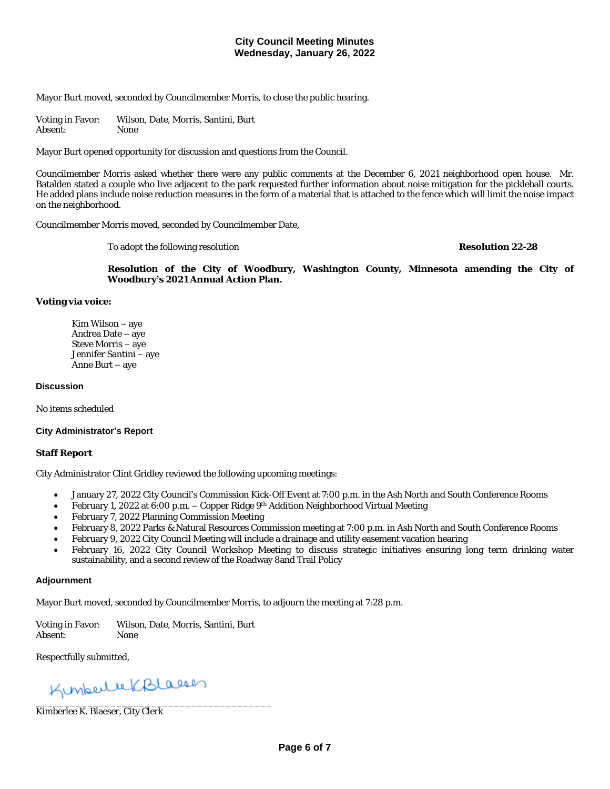Mayor Burt moved, seconded by Councilmember Morris, to close the public hearing.

Voting in Favor: Wilson, Date, Morris, Santini, Burt Absent: None

Mayor Burt opened opportunity for discussion and questions from the Council.

Councilmember Morris asked whether there were any public comments at the December 6, 2021 neighborhood open house. Mr. Batalden stated a couple who live adjacent to the park requested further information about noise mitigation for the pickleball courts. He added plans include noise reduction measures in the form of a material that is attached to the fence which will limit the noise impact on the neighborhood.

Councilmember Morris moved, seconded by Councilmember Date,

To adopt the following resolution **Resolution 22-28**

**Resolution of the City of Woodbury, Washington County, Minnesota amending the City of Woodbury's 2021 Annual Action Plan.**

#### **Voting via voice:**

Kim Wilson – aye Andrea Date – aye Steve Morris – aye Jennifer Santini – aye Anne Burt – aye

#### **Discussion**

No items scheduled

#### **City Administrator's Report**

### **Staff Report**

City Administrator Clint Gridley reviewed the following upcoming meetings:

- January 27, 2022 City Council's Commission Kick-Off Event at 7:00 p.m. in the Ash North and South Conference Rooms
- February 1, 2022 at 6:00 p.m. Copper Ridge 9<sup>th</sup> Addition Neighborhood Virtual Meeting
- February 7, 2022 Planning Commission Meeting
- · February 8, 2022 Parks & Natural Resources Commission meeting at 7:00 p.m. in Ash North and South Conference Rooms
- February 9, 2022 City Council Meeting will include a drainage and utility easement vacation hearing
- February 16, 2022 City Council Workshop Meeting to discuss strategic initiatives ensuring long term drinking water sustainability, and a second review of the Roadway 8and Trail Policy

#### **Adjournment**

Mayor Burt moved, seconded by Councilmember Morris, to adjourn the meeting at 7:28 p.m.

Voting in Favor: Wilson, Date, Morris, Santini, Burt<br>Absent: None Absent:

Respectfully submitted,

\_\_\_\_\_\_\_\_\_\_\_\_\_\_\_\_\_\_\_\_\_\_\_\_\_\_\_\_\_\_\_\_\_\_\_\_\_\_\_\_\_

Kimberlee K. Blaeser, City Clerk